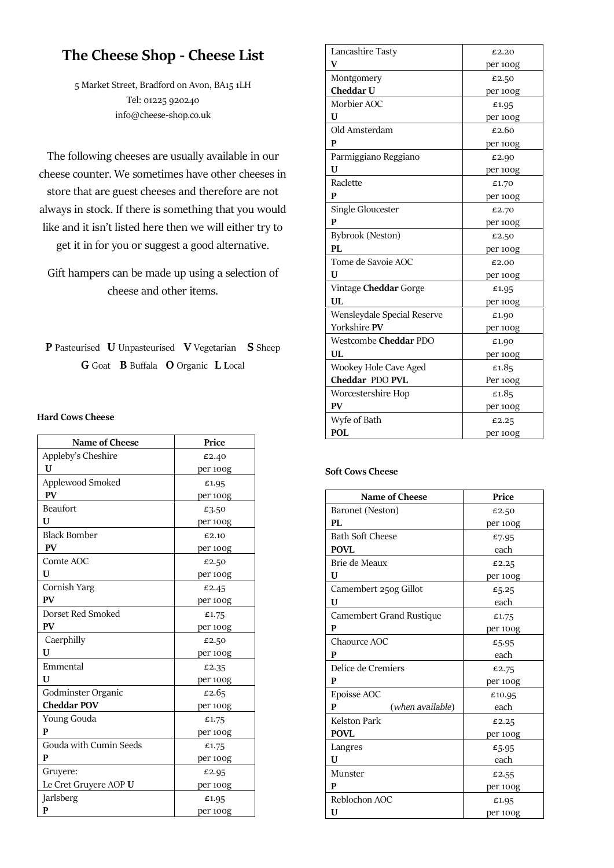# **The Cheese Shop - Cheese List**

5 Market Street, Bradford on Avon, BA15 1LH Tel: 01225 920240 info@cheese-shop.co.uk

The following cheeses are usually available in our cheese counter. We sometimes have other cheeses in store that are guest cheeses and therefore are not always in stock. If there is something that you would like and it isn't listed here then we will either try to get it in for you or suggest a good alternative.

Gift hampers can be made up using a selection of cheese and other items.

**P** Pasteurised **U** Unpasteurised **V** Vegetarian **S** Sheep **G** Goat **B** Buffala **O** Organic **L L**ocal

## **Hard Cows Cheese**

| Name of Cheese         | Price    |
|------------------------|----------|
| Appleby's Cheshire     | £2.40    |
| U                      | per 100g |
| Applewood Smoked       | £1.95    |
| <b>PV</b>              | per 100g |
| <b>Beaufort</b>        | £3.50    |
| U                      | per 100g |
| <b>Black Bomber</b>    | £2.10    |
| <b>PV</b>              | per 100g |
| Comte AOC              | £2.50    |
| U                      | per 100g |
| Cornish Yarg           | £2.45    |
| <b>PV</b>              | per 100g |
| Dorset Red Smoked      | £1.75    |
| PV                     | per 100g |
| Caerphilly             | £2.50    |
| U                      | per 100g |
| Emmental               | £2.35    |
| U                      | per 100g |
| Godminster Organic     | £2.65    |
| <b>Cheddar POV</b>     | per 100g |
| Young Gouda            | £1.75    |
| P                      | per 100g |
| Gouda with Cumin Seeds | £1.75    |
| P                      | per 100g |
| Gruyere:               | £2.95    |
| Le Cret Gruyere AOP U  | per 100g |
| Jarlsberg              | £1.95    |
| P                      | per 100g |

| Lancashire Tasty            | £2.20    |
|-----------------------------|----------|
| V                           | per 100g |
| Montgomery                  | £2.50    |
| Cheddar U                   | per 100g |
| Morbier AOC                 | £1.95    |
| U                           | per 100g |
| Old Amsterdam               | £2.60    |
| P                           | per 100g |
| Parmiggiano Reggiano        | £2.90    |
| U                           | per 100g |
| Raclette                    | £1.70    |
| P                           | per 100g |
| Single Gloucester           | £2.70    |
| $\mathbf{p}$                | per 100g |
| Bybrook (Neston)            | £2.50    |
| PL                          | per 100g |
| Tome de Savoie AOC          | £2.00    |
| U                           | per 100g |
| Vintage Cheddar Gorge       | £1.95    |
| UL                          | per 100g |
| Wensleydale Special Reserve | £1.90    |
| Yorkshire PV                | per 100g |
| Westcombe Cheddar PDO       | £1.90    |
| UL                          | per 100g |
| Wookey Hole Cave Aged       | £1.85    |
| Cheddar PDO PVL             | Per 100g |
| Worcestershire Hop          | £1.85    |
| <b>PV</b>                   | per 100g |
| Wyfe of Bath                | £2.25    |
| <b>POL</b>                  | per 100g |

## **Soft Cows Cheese**

| Name of Cheese           | Price    |
|--------------------------|----------|
| Baronet (Neston)         | £2.50    |
| PL                       | per 100g |
| <b>Bath Soft Cheese</b>  | £7.95    |
| <b>POVL</b>              | each     |
| Brie de Meaux            | £2.25    |
| U                        | per 100g |
| Camembert 250g Gillot    | £5.25    |
| U                        | each     |
| Camembert Grand Rustique | £1.75    |
| P                        | per 100g |
| Chaource AOC             | £5.95    |
| P                        | each     |
| Delice de Cremiers       | £2.75    |
| P                        | per 100g |
| Epoisse AOC              | £10.95   |
| P<br>(when available)    | each     |
| <b>Kelston Park</b>      | £2.25    |
| <b>POVL</b>              | per 100g |
| Langres                  | £5.95    |
| U                        | each     |
| Munster                  | £2.55    |
| P                        | per 100g |
| Reblochon AOC            | £1.95    |
| U                        | per 100g |